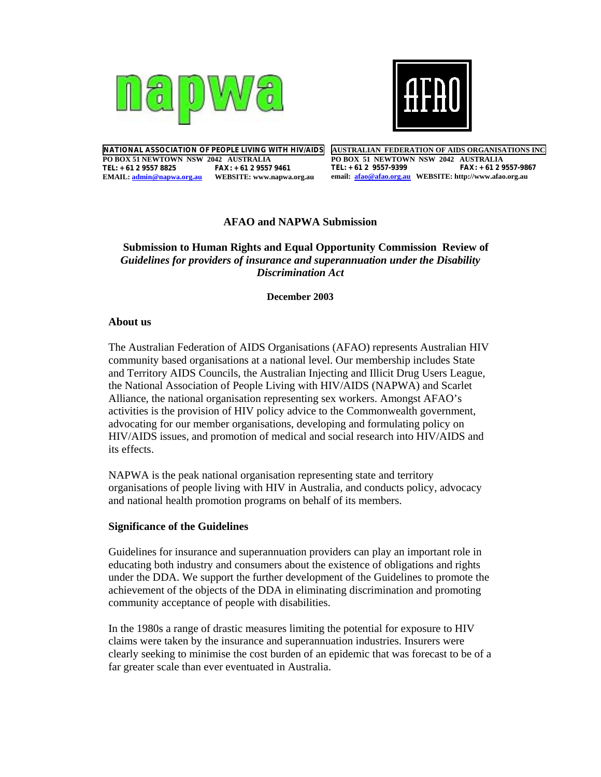



**NATIONAL ASSOCIATION OF PEOPLE LIVING WITH HIV/AIDS PO BOX 51 NEWTOWN NSW 2042 AUSTRALIA TEL: +61 2 9557 8825 FAX: +61 2 9557 9461 EMAIL: admin@napwa.org.au WEBSITE: www.napwa.org.au** 

**AUSTRALIAN FEDERATION OF AIDS ORGANISATIONS INC PO BOX 51 NEWTOWN NSW 2042 AUSTRALIA TEL: +61 2 9557-9399 FAX: +61 2 9557-9867 email: afao@afao.org.au WEBSITE: http://www.afao.org.au** 

# **AFAO and NAPWA Submission**

 **Submission to Human Rights and Equal Opportunity Commission Review of**  *Guidelines for providers of insurance and superannuation under the Disability Discrimination Act*

**December 2003** 

# **About us**

The Australian Federation of AIDS Organisations (AFAO) represents Australian HIV community based organisations at a national level. Our membership includes State and Territory AIDS Councils, the Australian Injecting and Illicit Drug Users League, the National Association of People Living with HIV/AIDS (NAPWA) and Scarlet Alliance, the national organisation representing sex workers. Amongst AFAO's activities is the provision of HIV policy advice to the Commonwealth government, advocating for our member organisations, developing and formulating policy on HIV/AIDS issues, and promotion of medical and social research into HIV/AIDS and its effects.

NAPWA is the peak national organisation representing state and territory organisations of people living with HIV in Australia, and conducts policy, advocacy and national health promotion programs on behalf of its members.

# **Significance of the Guidelines**

Guidelines for insurance and superannuation providers can play an important role in educating both industry and consumers about the existence of obligations and rights under the DDA. We support the further development of the Guidelines to promote the achievement of the objects of the DDA in eliminating discrimination and promoting community acceptance of people with disabilities.

In the 1980s a range of drastic measures limiting the potential for exposure to HIV claims were taken by the insurance and superannuation industries. Insurers were clearly seeking to minimise the cost burden of an epidemic that was forecast to be of a far greater scale than ever eventuated in Australia.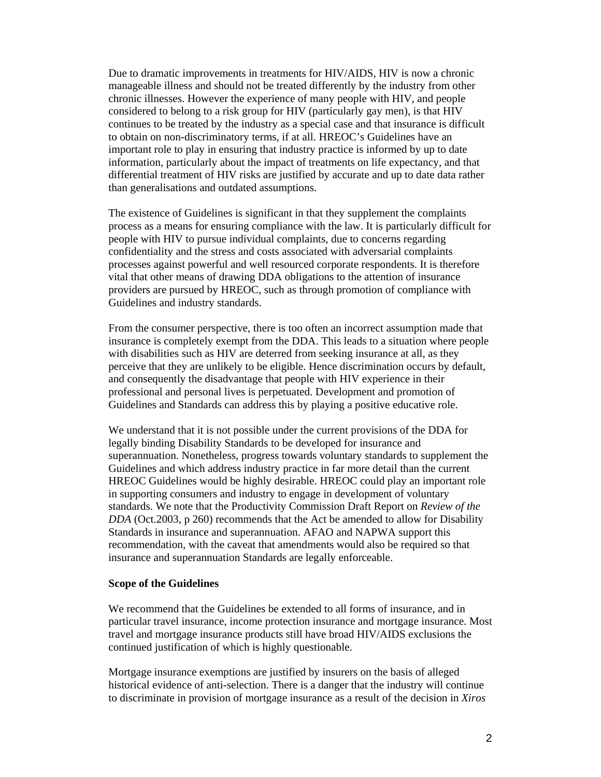Due to dramatic improvements in treatments for HIV/AIDS, HIV is now a chronic manageable illness and should not be treated differently by the industry from other chronic illnesses. However the experience of many people with HIV, and people considered to belong to a risk group for HIV (particularly gay men), is that HIV continues to be treated by the industry as a special case and that insurance is difficult to obtain on non-discriminatory terms, if at all. HREOC's Guidelines have an important role to play in ensuring that industry practice is informed by up to date information, particularly about the impact of treatments on life expectancy, and that differential treatment of HIV risks are justified by accurate and up to date data rather than generalisations and outdated assumptions.

The existence of Guidelines is significant in that they supplement the complaints process as a means for ensuring compliance with the law. It is particularly difficult for people with HIV to pursue individual complaints, due to concerns regarding confidentiality and the stress and costs associated with adversarial complaints processes against powerful and well resourced corporate respondents. It is therefore vital that other means of drawing DDA obligations to the attention of insurance providers are pursued by HREOC, such as through promotion of compliance with Guidelines and industry standards.

From the consumer perspective, there is too often an incorrect assumption made that insurance is completely exempt from the DDA. This leads to a situation where people with disabilities such as HIV are deterred from seeking insurance at all, as they perceive that they are unlikely to be eligible. Hence discrimination occurs by default, and consequently the disadvantage that people with HIV experience in their professional and personal lives is perpetuated. Development and promotion of Guidelines and Standards can address this by playing a positive educative role.

We understand that it is not possible under the current provisions of the DDA for legally binding Disability Standards to be developed for insurance and superannuation. Nonetheless, progress towards voluntary standards to supplement the Guidelines and which address industry practice in far more detail than the current HREOC Guidelines would be highly desirable. HREOC could play an important role in supporting consumers and industry to engage in development of voluntary standards. We note that the Productivity Commission Draft Report on *Review of the DDA* (Oct.2003, p 260) recommends that the Act be amended to allow for Disability Standards in insurance and superannuation. AFAO and NAPWA support this recommendation, with the caveat that amendments would also be required so that insurance and superannuation Standards are legally enforceable.

# **Scope of the Guidelines**

We recommend that the Guidelines be extended to all forms of insurance, and in particular travel insurance, income protection insurance and mortgage insurance. Most travel and mortgage insurance products still have broad HIV/AIDS exclusions the continued justification of which is highly questionable.

Mortgage insurance exemptions are justified by insurers on the basis of alleged historical evidence of anti-selection. There is a danger that the industry will continue to discriminate in provision of mortgage insurance as a result of the decision in *Xiros*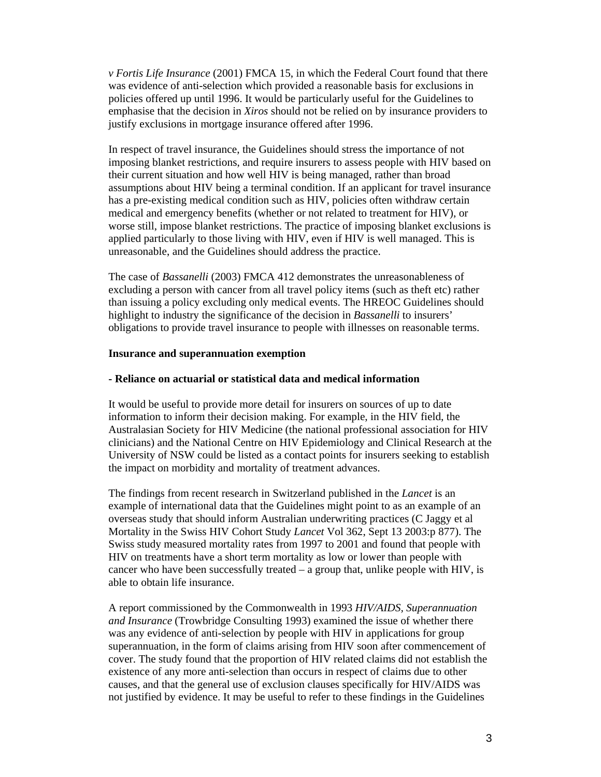*v Fortis Life Insurance* (2001) FMCA 15, in which the Federal Court found that there was evidence of anti-selection which provided a reasonable basis for exclusions in policies offered up until 1996. It would be particularly useful for the Guidelines to emphasise that the decision in *Xiros* should not be relied on by insurance providers to justify exclusions in mortgage insurance offered after 1996.

In respect of travel insurance, the Guidelines should stress the importance of not imposing blanket restrictions, and require insurers to assess people with HIV based on their current situation and how well HIV is being managed, rather than broad assumptions about HIV being a terminal condition. If an applicant for travel insurance has a pre-existing medical condition such as HIV, policies often withdraw certain medical and emergency benefits (whether or not related to treatment for HIV), or worse still, impose blanket restrictions. The practice of imposing blanket exclusions is applied particularly to those living with HIV, even if HIV is well managed. This is unreasonable, and the Guidelines should address the practice.

The case of *Bassanelli* (2003) FMCA 412 demonstrates the unreasonableness of excluding a person with cancer from all travel policy items (such as theft etc) rather than issuing a policy excluding only medical events. The HREOC Guidelines should highlight to industry the significance of the decision in *Bassanelli* to insurers' obligations to provide travel insurance to people with illnesses on reasonable terms.

# **Insurance and superannuation exemption**

# **- Reliance on actuarial or statistical data and medical information**

It would be useful to provide more detail for insurers on sources of up to date information to inform their decision making. For example, in the HIV field, the Australasian Society for HIV Medicine (the national professional association for HIV clinicians) and the National Centre on HIV Epidemiology and Clinical Research at the University of NSW could be listed as a contact points for insurers seeking to establish the impact on morbidity and mortality of treatment advances.

The findings from recent research in Switzerland published in the *Lancet* is an example of international data that the Guidelines might point to as an example of an overseas study that should inform Australian underwriting practices (C Jaggy et al Mortality in the Swiss HIV Cohort Study *Lancet* Vol 362, Sept 13 2003:p 877). The Swiss study measured mortality rates from 1997 to 2001 and found that people with HIV on treatments have a short term mortality as low or lower than people with cancer who have been successfully treated  $-$  a group that, unlike people with HIV, is able to obtain life insurance.

A report commissioned by the Commonwealth in 1993 *HIV/AIDS, Superannuation and Insurance* (Trowbridge Consulting 1993) examined the issue of whether there was any evidence of anti-selection by people with HIV in applications for group superannuation, in the form of claims arising from HIV soon after commencement of cover. The study found that the proportion of HIV related claims did not establish the existence of any more anti-selection than occurs in respect of claims due to other causes, and that the general use of exclusion clauses specifically for HIV/AIDS was not justified by evidence. It may be useful to refer to these findings in the Guidelines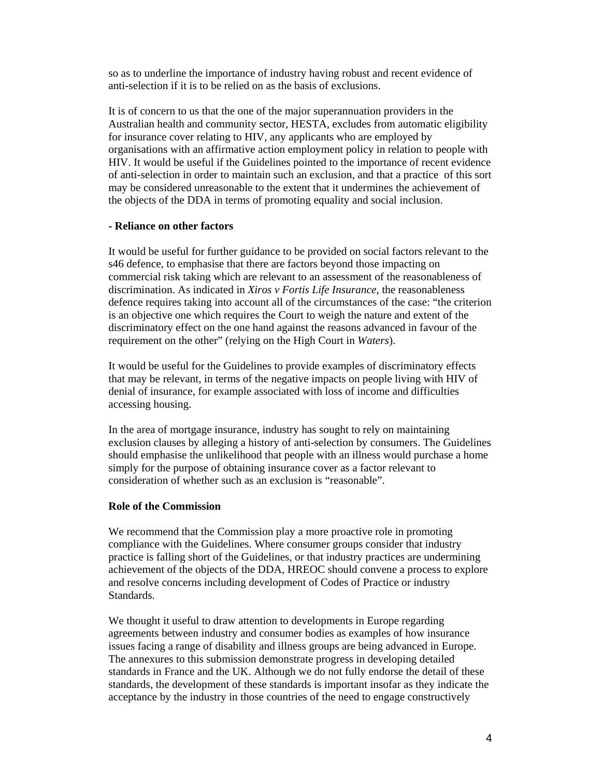so as to underline the importance of industry having robust and recent evidence of anti-selection if it is to be relied on as the basis of exclusions.

It is of concern to us that the one of the major superannuation providers in the Australian health and community sector, HESTA, excludes from automatic eligibility for insurance cover relating to HIV, any applicants who are employed by organisations with an affirmative action employment policy in relation to people with HIV. It would be useful if the Guidelines pointed to the importance of recent evidence of anti-selection in order to maintain such an exclusion, and that a practice of this sort may be considered unreasonable to the extent that it undermines the achievement of the objects of the DDA in terms of promoting equality and social inclusion.

# **- Reliance on other factors**

It would be useful for further guidance to be provided on social factors relevant to the s46 defence, to emphasise that there are factors beyond those impacting on commercial risk taking which are relevant to an assessment of the reasonableness of discrimination. As indicated in *Xiros v Fortis Life Insurance*, the reasonableness defence requires taking into account all of the circumstances of the case: "the criterion is an objective one which requires the Court to weigh the nature and extent of the discriminatory effect on the one hand against the reasons advanced in favour of the requirement on the other" (relying on the High Court in *Waters*).

It would be useful for the Guidelines to provide examples of discriminatory effects that may be relevant, in terms of the negative impacts on people living with HIV of denial of insurance, for example associated with loss of income and difficulties accessing housing.

In the area of mortgage insurance, industry has sought to rely on maintaining exclusion clauses by alleging a history of anti-selection by consumers. The Guidelines should emphasise the unlikelihood that people with an illness would purchase a home simply for the purpose of obtaining insurance cover as a factor relevant to consideration of whether such as an exclusion is "reasonable".

# **Role of the Commission**

We recommend that the Commission play a more proactive role in promoting compliance with the Guidelines. Where consumer groups consider that industry practice is falling short of the Guidelines, or that industry practices are undermining achievement of the objects of the DDA, HREOC should convene a process to explore and resolve concerns including development of Codes of Practice or industry Standards.

We thought it useful to draw attention to developments in Europe regarding agreements between industry and consumer bodies as examples of how insurance issues facing a range of disability and illness groups are being advanced in Europe. The annexures to this submission demonstrate progress in developing detailed standards in France and the UK. Although we do not fully endorse the detail of these standards, the development of these standards is important insofar as they indicate the acceptance by the industry in those countries of the need to engage constructively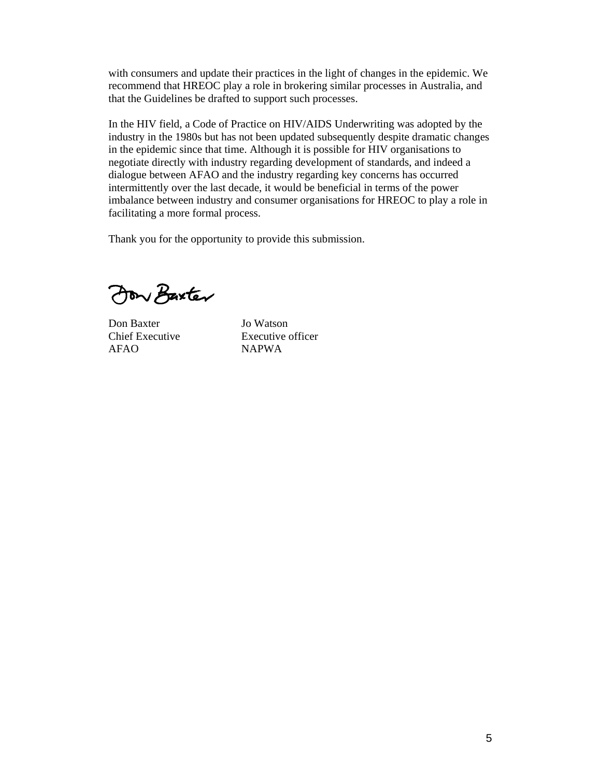with consumers and update their practices in the light of changes in the epidemic. We recommend that HREOC play a role in brokering similar processes in Australia, and that the Guidelines be drafted to support such processes.

In the HIV field, a Code of Practice on HIV/AIDS Underwriting was adopted by the industry in the 1980s but has not been updated subsequently despite dramatic changes in the epidemic since that time. Although it is possible for HIV organisations to negotiate directly with industry regarding development of standards, and indeed a dialogue between AFAO and the industry regarding key concerns has occurred intermittently over the last decade, it would be beneficial in terms of the power imbalance between industry and consumer organisations for HREOC to play a role in facilitating a more formal process.

Thank you for the opportunity to provide this submission.

Jon Baxter

Don Baxter Jo Watson AFAO NAPWA

Chief Executive Executive officer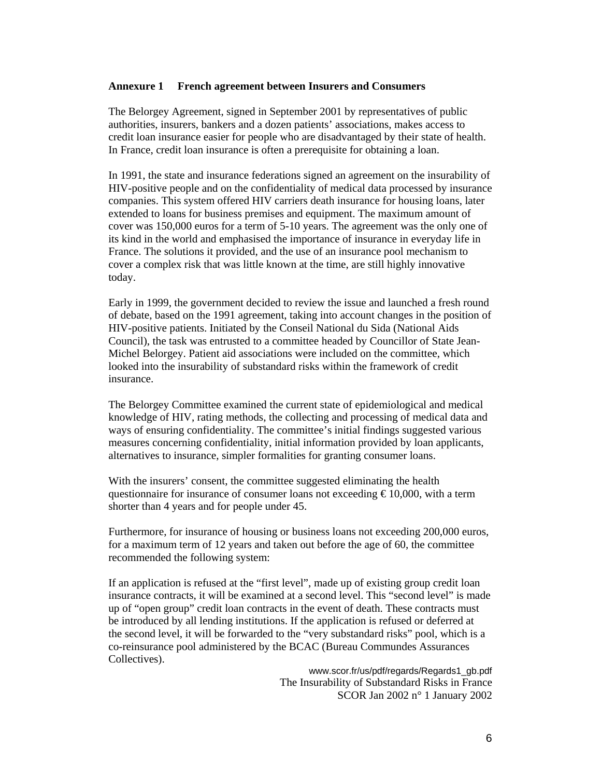# **Annexure 1 French agreement between Insurers and Consumers**

The Belorgey Agreement, signed in September 2001 by representatives of public authorities, insurers, bankers and a dozen patients' associations, makes access to credit loan insurance easier for people who are disadvantaged by their state of health. In France, credit loan insurance is often a prerequisite for obtaining a loan.

In 1991, the state and insurance federations signed an agreement on the insurability of HIV-positive people and on the confidentiality of medical data processed by insurance companies. This system offered HIV carriers death insurance for housing loans, later extended to loans for business premises and equipment. The maximum amount of cover was 150,000 euros for a term of 5-10 years. The agreement was the only one of its kind in the world and emphasised the importance of insurance in everyday life in France. The solutions it provided, and the use of an insurance pool mechanism to cover a complex risk that was little known at the time, are still highly innovative today.

Early in 1999, the government decided to review the issue and launched a fresh round of debate, based on the 1991 agreement, taking into account changes in the position of HIV-positive patients. Initiated by the Conseil National du Sida (National Aids Council), the task was entrusted to a committee headed by Councillor of State Jean-Michel Belorgey. Patient aid associations were included on the committee, which looked into the insurability of substandard risks within the framework of credit insurance.

The Belorgey Committee examined the current state of epidemiological and medical knowledge of HIV, rating methods, the collecting and processing of medical data and ways of ensuring confidentiality. The committee's initial findings suggested various measures concerning confidentiality, initial information provided by loan applicants, alternatives to insurance, simpler formalities for granting consumer loans.

With the insurers' consent, the committee suggested eliminating the health questionnaire for insurance of consumer loans not exceeding  $\epsilon$  10,000, with a term shorter than 4 years and for people under 45.

Furthermore, for insurance of housing or business loans not exceeding 200,000 euros, for a maximum term of 12 years and taken out before the age of 60, the committee recommended the following system:

If an application is refused at the "first level", made up of existing group credit loan insurance contracts, it will be examined at a second level. This "second level" is made up of "open group" credit loan contracts in the event of death. These contracts must be introduced by all lending institutions. If the application is refused or deferred at the second level, it will be forwarded to the "very substandard risks" pool, which is a co-reinsurance pool administered by the BCAC (Bureau Commundes Assurances Collectives).

> www.scor.fr/us/pdf/regards/Regards1\_gb.pdf The Insurability of Substandard Risks in France SCOR Jan 2002 n° 1 January 2002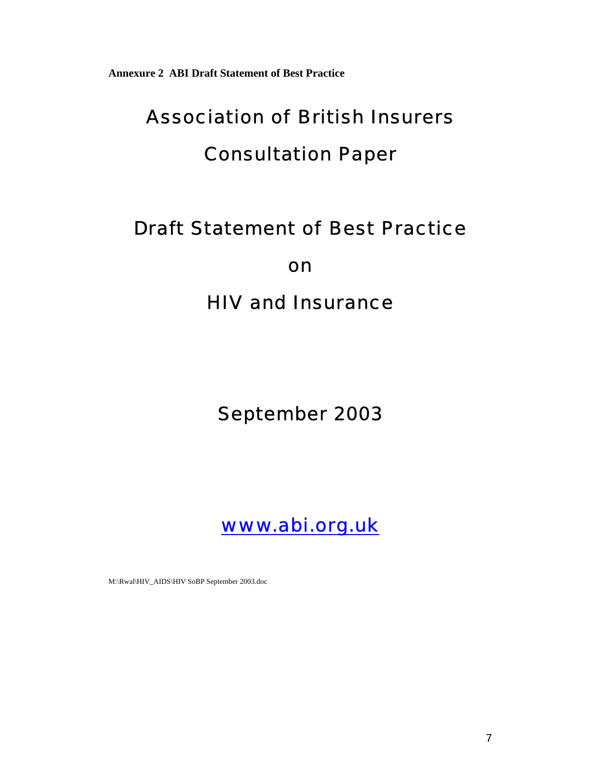**Annexure 2 ABI Draft Statement of Best Practice** 

# Association of British Insurers

# Consultation Paper

# Draft Statement of Best Practice

on

HIV and Insurance

# September 2003



M:\Rwal\HIV\_AIDS\HIV SoBP September 2003.doc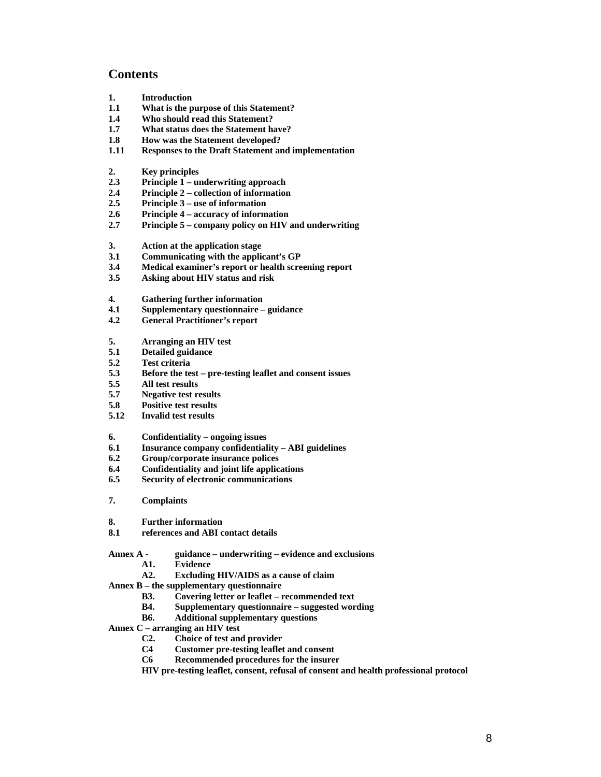# **Contents**

- **1. Introduction**
- **1.1 What is the purpose of this Statement?**
- **1.4 Who should read this Statement?**
- **1.7 What status does the Statement have?**
- **1.8 How was the Statement developed?**
- **1.11 Responses to the Draft Statement and implementation**
- **2. Key principles**
- **2.3 Principle 1 underwriting approach**
- **2.4 Principle 2 collection of information**
- **2.5 Principle 3 use of information**
- **2.6 Principle 4 accuracy of information**
- **2.7 Principle 5 company policy on HIV and underwriting**
- **3. Action at the application stage**
- **3.1 Communicating with the applicant's GP**
- **3.4 Medical examiner's report or health screening report**
- **3.5 Asking about HIV status and risk**
- **4. Gathering further information**
- **4.1 Supplementary questionnaire guidance**
- **4.2 General Practitioner's report**
- **5. Arranging an HIV test**
- **5.1 Detailed guidance**
- **5.2 Test criteria**
- **5.3 Before the test pre-testing leaflet and consent issues**
- **5.5 All test results**
- **5.7 Negative test results**
- **5.8 Positive test results**
- **5.12 Invalid test results**

#### **6. Confidentiality – ongoing issues**

- **6.1 Insurance company confidentiality ABI guidelines**
- **6.2 Group/corporate insurance polices**
- **6.4 Confidentiality and joint life applications**
- **6.5 Security of electronic communications**
- **7. Complaints**
- **8. Further information**
- **8.1 references and ABI contact details**
- **Annex A guidance underwriting evidence and exclusions** 
	- **A1. Evidence**
	- **A2. Excluding HIV/AIDS as a cause of claim**

**Annex B – the supplementary questionnaire** 

- **B3. Covering letter or leaflet recommended text**
- **B4. Supplementary questionnaire suggested wording**
- **B6. Additional supplementary questions**
- **Annex C arranging an HIV test** 
	- **C2. Choice of test and provider**
	- **C4 Customer pre-testing leaflet and consent**
	- **C6 Recommended procedures for the insurer**
	- **HIV pre-testing leaflet, consent, refusal of consent and health professional protocol**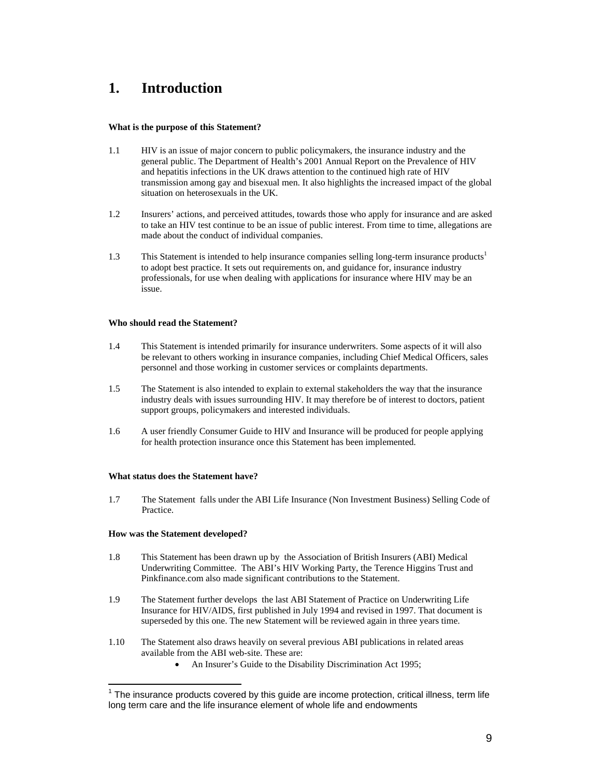# **1. Introduction**

# **What is the purpose of this Statement?**

- 1.1 HIV is an issue of major concern to public policymakers, the insurance industry and the general public. The Department of Health's 2001 Annual Report on the Prevalence of HIV and hepatitis infections in the UK draws attention to the continued high rate of HIV transmission among gay and bisexual men. It also highlights the increased impact of the global situation on heterosexuals in the UK.
- 1.2 Insurers' actions, and perceived attitudes, towards those who apply for insurance and are asked to take an HIV test continue to be an issue of public interest. From time to time, allegations are made about the conduct of individual companies.
- 1.3 This Statement is intended to help insurance companies selling long-term insurance products<sup>1</sup> to adopt best practice. It sets out requirements on, and guidance for, insurance industry professionals, for use when dealing with applications for insurance where HIV may be an issue.

# **Who should read the Statement?**

- 1.4 This Statement is intended primarily for insurance underwriters. Some aspects of it will also be relevant to others working in insurance companies, including Chief Medical Officers, sales personnel and those working in customer services or complaints departments.
- 1.5 The Statement is also intended to explain to external stakeholders the way that the insurance industry deals with issues surrounding HIV. It may therefore be of interest to doctors, patient support groups, policymakers and interested individuals.
- 1.6 A user friendly Consumer Guide to HIV and Insurance will be produced for people applying for health protection insurance once this Statement has been implemented.

# **What status does the Statement have?**

1.7 The Statement falls under the ABI Life Insurance (Non Investment Business) Selling Code of Practice.

# **How was the Statement developed?**

 $\overline{a}$ 

- 1.8 This Statement has been drawn up by the Association of British Insurers (ABI) Medical Underwriting Committee. The ABI's HIV Working Party, the Terence Higgins Trust and Pinkfinance.com also made significant contributions to the Statement.
- 1.9 The Statement further develops the last ABI Statement of Practice on Underwriting Life Insurance for HIV/AIDS, first published in July 1994 and revised in 1997. That document is superseded by this one. The new Statement will be reviewed again in three years time.
- 1.10 The Statement also draws heavily on several previous ABI publications in related areas available from the ABI web-site. These are:
	- An Insurer's Guide to the Disability Discrimination Act 1995;

 $1$  The insurance products covered by this guide are income protection, critical illness, term life long term care and the life insurance element of whole life and endowments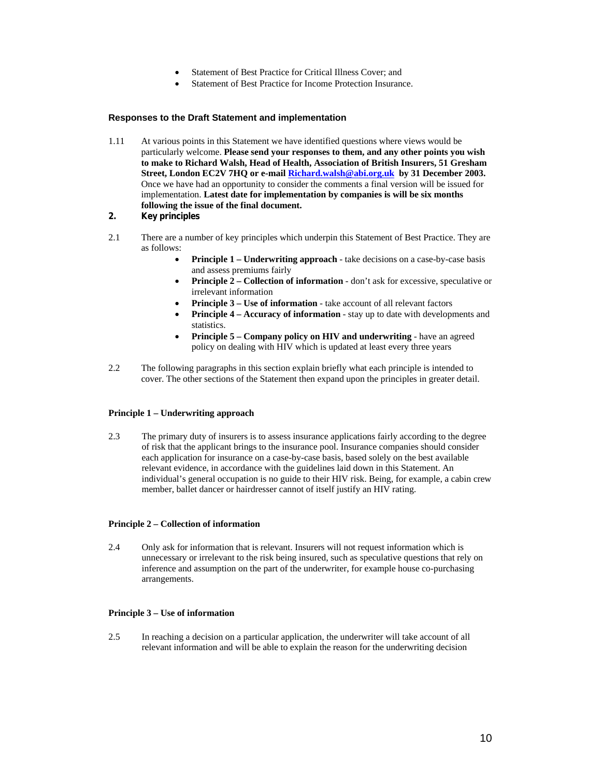- Statement of Best Practice for Critical Illness Cover; and
- Statement of Best Practice for Income Protection Insurance.

#### **Responses to the Draft Statement and implementation**

- 1.11 At various points in this Statement we have identified questions where views would be particularly welcome. **Please send your responses to them, and any other points you wish to make to Richard Walsh, Head of Health, Association of British Insurers, 51 Gresham Street, London EC2V 7HQ or e-mail Richard.walsh@abi.org.uk by 31 December 2003.** Once we have had an opportunity to consider the comments a final version will be issued for implementation. **Latest date for implementation by companies is will be six months following the issue of the final document.**
- **2. Key principles**
- 2.1 There are a number of key principles which underpin this Statement of Best Practice. They are as follows:
	- **Principle 1 Underwriting approach** take decisions on a case-by-case basis and assess premiums fairly
	- **Principle 2 Collection of information** don't ask for excessive, speculative or irrelevant information
	- **Principle 3 Use of information** take account of all relevant factors
	- **Principle 4 Accuracy of information** stay up to date with developments and statistics.
	- **Principle 5 Company policy on HIV and underwriting** have an agreed policy on dealing with HIV which is updated at least every three years
- 2.2 The following paragraphs in this section explain briefly what each principle is intended to cover. The other sections of the Statement then expand upon the principles in greater detail.

#### **Principle 1 – Underwriting approach**

2.3 The primary duty of insurers is to assess insurance applications fairly according to the degree of risk that the applicant brings to the insurance pool. Insurance companies should consider each application for insurance on a case-by-case basis, based solely on the best available relevant evidence, in accordance with the guidelines laid down in this Statement. An individual's general occupation is no guide to their HIV risk. Being, for example, a cabin crew member, ballet dancer or hairdresser cannot of itself justify an HIV rating.

#### **Principle 2 – Collection of information**

2.4 Only ask for information that is relevant. Insurers will not request information which is unnecessary or irrelevant to the risk being insured, such as speculative questions that rely on inference and assumption on the part of the underwriter, for example house co-purchasing arrangements.

#### **Principle 3 – Use of information**

2.5 In reaching a decision on a particular application, the underwriter will take account of all relevant information and will be able to explain the reason for the underwriting decision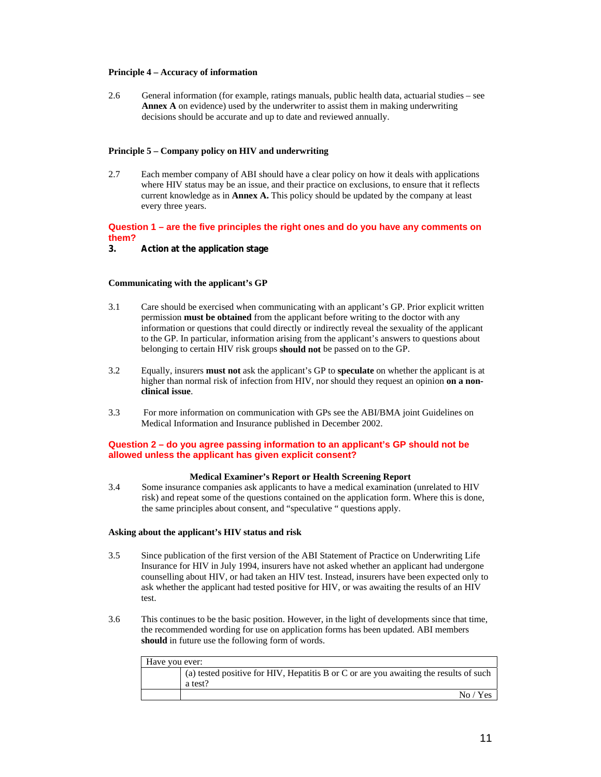#### **Principle 4 – Accuracy of information**

2.6 General information (for example, ratings manuals, public health data, actuarial studies – see **Annex A** on evidence) used by the underwriter to assist them in making underwriting decisions should be accurate and up to date and reviewed annually.

#### **Principle 5 – Company policy on HIV and underwriting**

2.7 Each member company of ABI should have a clear policy on how it deals with applications where HIV status may be an issue, and their practice on exclusions, to ensure that it reflects current knowledge as in **Annex A.** This policy should be updated by the company at least every three years.

# **Question 1 – are the five principles the right ones and do you have any comments on them?**

# **3. Action at the application stage**

# **Communicating with the applicant's GP**

- 3.1 Care should be exercised when communicating with an applicant's GP. Prior explicit written permission **must be obtained** from the applicant before writing to the doctor with any information or questions that could directly or indirectly reveal the sexuality of the applicant to the GP. In particular, information arising from the applicant's answers to questions about belonging to certain HIV risk groups **should not** be passed on to the GP.
- 3.2 Equally, insurers **must not** ask the applicant's GP to **speculate** on whether the applicant is at higher than normal risk of infection from HIV, nor should they request an opinion **on a nonclinical issue**.
- 3.3 For more information on communication with GPs see the ABI/BMA joint Guidelines on Medical Information and Insurance published in December 2002.

#### **Question 2 – do you agree passing information to an applicant's GP should not be allowed unless the applicant has given explicit consent?**

#### **Medical Examiner's Report or Health Screening Report**

3.4 Some insurance companies ask applicants to have a medical examination (unrelated to HIV risk) and repeat some of the questions contained on the application form. Where this is done, the same principles about consent, and "speculative " questions apply.

#### **Asking about the applicant's HIV status and risk**

- 3.5 Since publication of the first version of the ABI Statement of Practice on Underwriting Life Insurance for HIV in July 1994, insurers have not asked whether an applicant had undergone counselling about HIV, or had taken an HIV test. Instead, insurers have been expected only to ask whether the applicant had tested positive for HIV, or was awaiting the results of an HIV test.
- 3.6 This continues to be the basic position. However, in the light of developments since that time, the recommended wording for use on application forms has been updated. ABI members **should** in future use the following form of words.

| Have you ever: |                                                                                       |  |  |
|----------------|---------------------------------------------------------------------------------------|--|--|
|                | (a) tested positive for HIV, Hepatitis B or C or are you awaiting the results of such |  |  |
|                | a test?                                                                               |  |  |
|                | No / Yes                                                                              |  |  |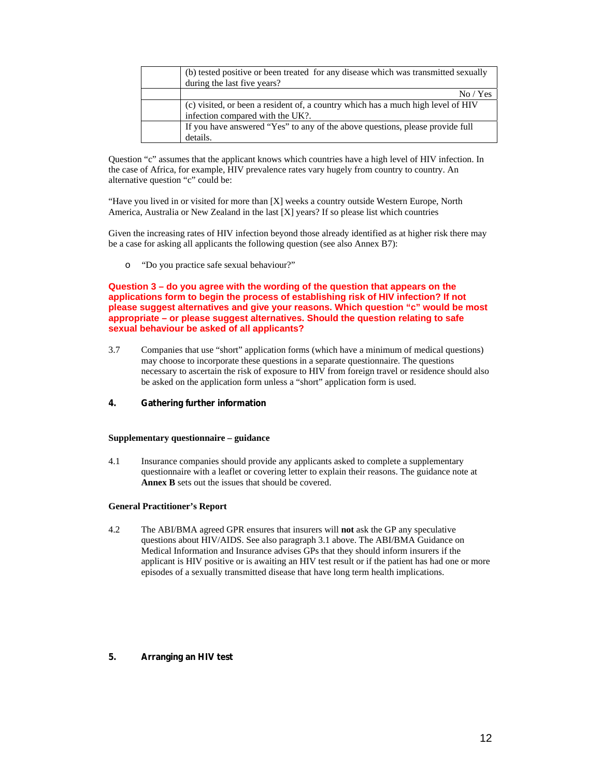| (b) tested positive or been treated for any disease which was transmitted sexually<br>during the last five years?    |
|----------------------------------------------------------------------------------------------------------------------|
| No / Yes                                                                                                             |
| (c) visited, or been a resident of, a country which has a much high level of HIV<br>infection compared with the UK?. |
| If you have answered "Yes" to any of the above questions, please provide full<br>details.                            |

Question "c" assumes that the applicant knows which countries have a high level of HIV infection. In the case of Africa, for example, HIV prevalence rates vary hugely from country to country. An alternative question "c" could be:

"Have you lived in or visited for more than [X] weeks a country outside Western Europe, North America, Australia or New Zealand in the last [X] years? If so please list which countries

Given the increasing rates of HIV infection beyond those already identified as at higher risk there may be a case for asking all applicants the following question (see also Annex B7):

o "Do you practice safe sexual behaviour?"

**Question 3 – do you agree with the wording of the question that appears on the applications form to begin the process of establishing risk of HIV infection? If not please suggest alternatives and give your reasons. Which question "c" would be most appropriate – or please suggest alternatives. Should the question relating to safe sexual behaviour be asked of all applicants?** 

- 3.7 Companies that use "short" application forms (which have a minimum of medical questions) may choose to incorporate these questions in a separate questionnaire. The questions necessary to ascertain the risk of exposure to HIV from foreign travel or residence should also be asked on the application form unless a "short" application form is used.
- **4. Gathering further information**

#### **Supplementary questionnaire – guidance**

4.1 Insurance companies should provide any applicants asked to complete a supplementary questionnaire with a leaflet or covering letter to explain their reasons. The guidance note at **Annex B** sets out the issues that should be covered.

# **General Practitioner's Report**

4.2 The ABI/BMA agreed GPR ensures that insurers will **not** ask the GP any speculative questions about HIV/AIDS. See also paragraph 3.1 above. The ABI/BMA Guidance on Medical Information and Insurance advises GPs that they should inform insurers if the applicant is HIV positive or is awaiting an HIV test result or if the patient has had one or more episodes of a sexually transmitted disease that have long term health implications.

# **5. Arranging an HIV test**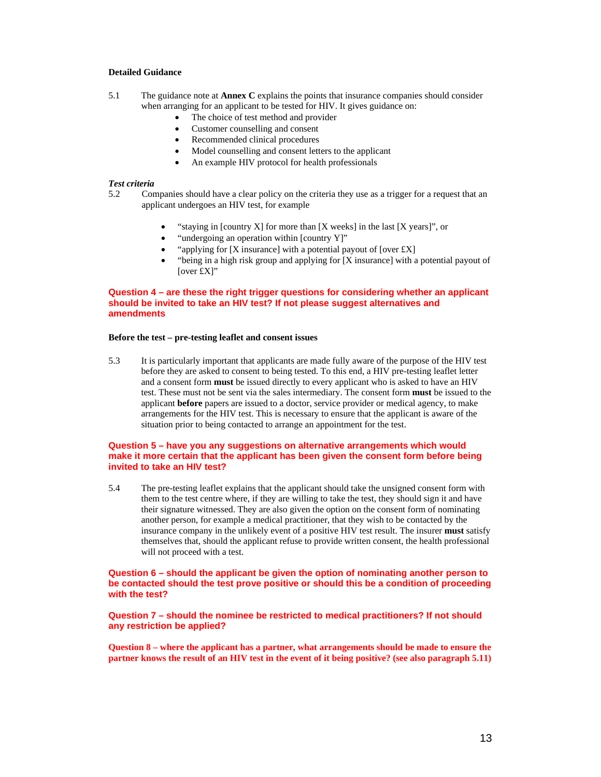#### **Detailed Guidance**

- 5.1 The guidance note at **Annex C** explains the points that insurance companies should consider when arranging for an applicant to be tested for HIV. It gives guidance on:
	- The choice of test method and provider
	- Customer counselling and consent
	- Recommended clinical procedures
	- Model counselling and consent letters to the applicant
	- An example HIV protocol for health professionals

#### *Test criteria*

- 5.2 Companies should have a clear policy on the criteria they use as a trigger for a request that an applicant undergoes an HIV test, for example
	- "staying in [country X] for more than  $[X$  weeks] in the last  $[X$  years]", or
	- "undergoing an operation within [country Y]"
	- "applying for  $[X]$  insurance] with a potential payout of  $[over\,tX]$
	- "being in a high risk group and applying for [X insurance] with a potential payout of [over £X]"

# **Question 4 – are these the right trigger questions for considering whether an applicant should be invited to take an HIV test? If not please suggest alternatives and amendments**

#### **Before the test – pre-testing leaflet and consent issues**

5.3 It is particularly important that applicants are made fully aware of the purpose of the HIV test before they are asked to consent to being tested. To this end, a HIV pre-testing leaflet letter and a consent form **must** be issued directly to every applicant who is asked to have an HIV test. These must not be sent via the sales intermediary. The consent form **must** be issued to the applicant **before** papers are issued to a doctor, service provider or medical agency, to make arrangements for the HIV test. This is necessary to ensure that the applicant is aware of the situation prior to being contacted to arrange an appointment for the test.

# **Question 5 – have you any suggestions on alternative arrangements which would make it more certain that the applicant has been given the consent form before being invited to take an HIV test?**

5.4 The pre-testing leaflet explains that the applicant should take the unsigned consent form with them to the test centre where, if they are willing to take the test, they should sign it and have their signature witnessed. They are also given the option on the consent form of nominating another person, for example a medical practitioner, that they wish to be contacted by the insurance company in the unlikely event of a positive HIV test result. The insurer **must** satisfy themselves that, should the applicant refuse to provide written consent, the health professional will not proceed with a test.

### **Question 6 – should the applicant be given the option of nominating another person to be contacted should the test prove positive or should this be a condition of proceeding with the test?**

**Question 7 – should the nominee be restricted to medical practitioners? If not should any restriction be applied?** 

**Question 8 – where the applicant has a partner, what arrangements should be made to ensure the partner knows the result of an HIV test in the event of it being positive? (see also paragraph 5.11)**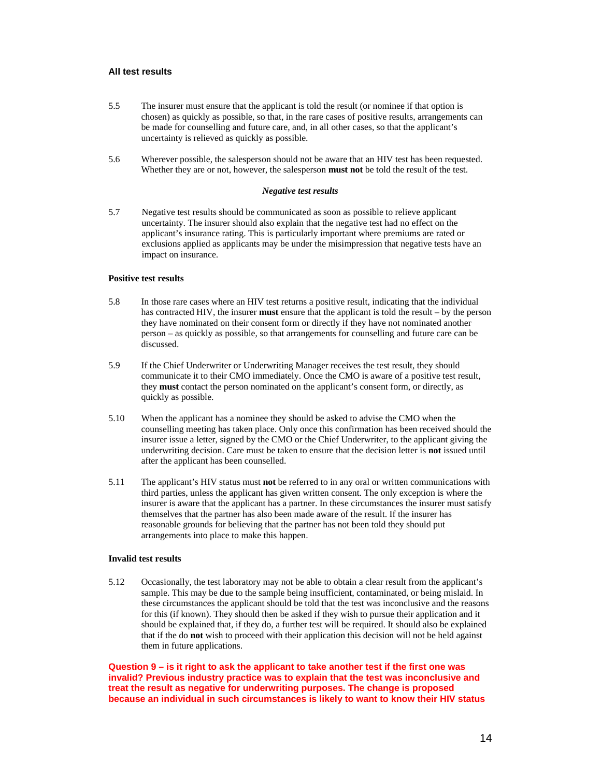#### **All test results**

- 5.5 The insurer must ensure that the applicant is told the result (or nominee if that option is chosen) as quickly as possible, so that, in the rare cases of positive results, arrangements can be made for counselling and future care, and, in all other cases, so that the applicant's uncertainty is relieved as quickly as possible.
- 5.6 Wherever possible, the salesperson should not be aware that an HIV test has been requested. Whether they are or not, however, the salesperson **must not** be told the result of the test.

#### *Negative test results*

5.7 Negative test results should be communicated as soon as possible to relieve applicant uncertainty. The insurer should also explain that the negative test had no effect on the applicant's insurance rating. This is particularly important where premiums are rated or exclusions applied as applicants may be under the misimpression that negative tests have an impact on insurance.

#### **Positive test results**

- 5.8 In those rare cases where an HIV test returns a positive result, indicating that the individual has contracted HIV, the insurer **must** ensure that the applicant is told the result – by the person they have nominated on their consent form or directly if they have not nominated another person – as quickly as possible, so that arrangements for counselling and future care can be discussed.
- 5.9 If the Chief Underwriter or Underwriting Manager receives the test result, they should communicate it to their CMO immediately. Once the CMO is aware of a positive test result, they **must** contact the person nominated on the applicant's consent form, or directly, as quickly as possible.
- 5.10 When the applicant has a nominee they should be asked to advise the CMO when the counselling meeting has taken place. Only once this confirmation has been received should the insurer issue a letter, signed by the CMO or the Chief Underwriter, to the applicant giving the underwriting decision. Care must be taken to ensure that the decision letter is **not** issued until after the applicant has been counselled.
- 5.11 The applicant's HIV status must **not** be referred to in any oral or written communications with third parties, unless the applicant has given written consent. The only exception is where the insurer is aware that the applicant has a partner. In these circumstances the insurer must satisfy themselves that the partner has also been made aware of the result. If the insurer has reasonable grounds for believing that the partner has not been told they should put arrangements into place to make this happen.

#### **Invalid test results**

5.12 Occasionally, the test laboratory may not be able to obtain a clear result from the applicant's sample. This may be due to the sample being insufficient, contaminated, or being mislaid. In these circumstances the applicant should be told that the test was inconclusive and the reasons for this (if known). They should then be asked if they wish to pursue their application and it should be explained that, if they do, a further test will be required. It should also be explained that if the do **not** wish to proceed with their application this decision will not be held against them in future applications.

**Question 9 – is it right to ask the applicant to take another test if the first one was invalid? Previous industry practice was to explain that the test was inconclusive and treat the result as negative for underwriting purposes. The change is proposed because an individual in such circumstances is likely to want to know their HIV status**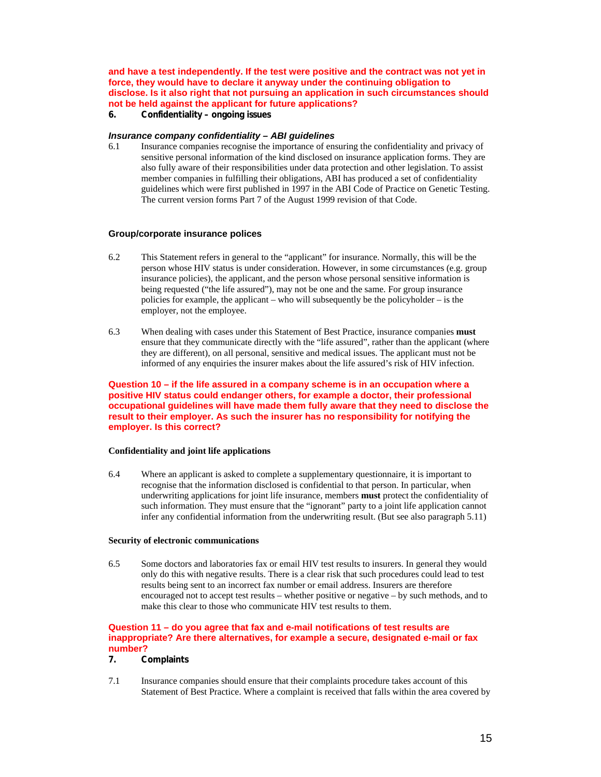**and have a test independently. If the test were positive and the contract was not yet in force, they would have to declare it anyway under the continuing obligation to disclose. Is it also right that not pursuing an application in such circumstances should not be held against the applicant for future applications?** 

# **6. Confidentiality – ongoing issues**

#### *Insurance company confidentiality – ABI guidelines*

6.1 Insurance companies recognise the importance of ensuring the confidentiality and privacy of sensitive personal information of the kind disclosed on insurance application forms. They are also fully aware of their responsibilities under data protection and other legislation. To assist member companies in fulfilling their obligations, ABI has produced a set of confidentiality guidelines which were first published in 1997 in the ABI Code of Practice on Genetic Testing. The current version forms Part 7 of the August 1999 revision of that Code.

#### **Group/corporate insurance polices**

- 6.2 This Statement refers in general to the "applicant" for insurance. Normally, this will be the person whose HIV status is under consideration. However, in some circumstances (e.g. group insurance policies), the applicant, and the person whose personal sensitive information is being requested ("the life assured"), may not be one and the same. For group insurance policies for example, the applicant – who will subsequently be the policyholder – is the employer, not the employee.
- 6.3 When dealing with cases under this Statement of Best Practice, insurance companies **must** ensure that they communicate directly with the "life assured", rather than the applicant (where they are different), on all personal, sensitive and medical issues. The applicant must not be informed of any enquiries the insurer makes about the life assured's risk of HIV infection.

### **Question 10 – if the life assured in a company scheme is in an occupation where a positive HIV status could endanger others, for example a doctor, their professional occupational guidelines will have made them fully aware that they need to disclose the result to their employer. As such the insurer has no responsibility for notifying the employer. Is this correct?**

# **Confidentiality and joint life applications**

6.4 Where an applicant is asked to complete a supplementary questionnaire, it is important to recognise that the information disclosed is confidential to that person. In particular, when underwriting applications for joint life insurance, members **must** protect the confidentiality of such information. They must ensure that the "ignorant" party to a joint life application cannot infer any confidential information from the underwriting result. (But see also paragraph 5.11)

#### **Security of electronic communications**

6.5 Some doctors and laboratories fax or email HIV test results to insurers. In general they would only do this with negative results. There is a clear risk that such procedures could lead to test results being sent to an incorrect fax number or email address. Insurers are therefore encouraged not to accept test results – whether positive or negative – by such methods, and to make this clear to those who communicate HIV test results to them.

#### **Question 11 – do you agree that fax and e-mail notifications of test results are inappropriate? Are there alternatives, for example a secure, designated e-mail or fax number?**

# **7. Complaints**

7.1 Insurance companies should ensure that their complaints procedure takes account of this Statement of Best Practice. Where a complaint is received that falls within the area covered by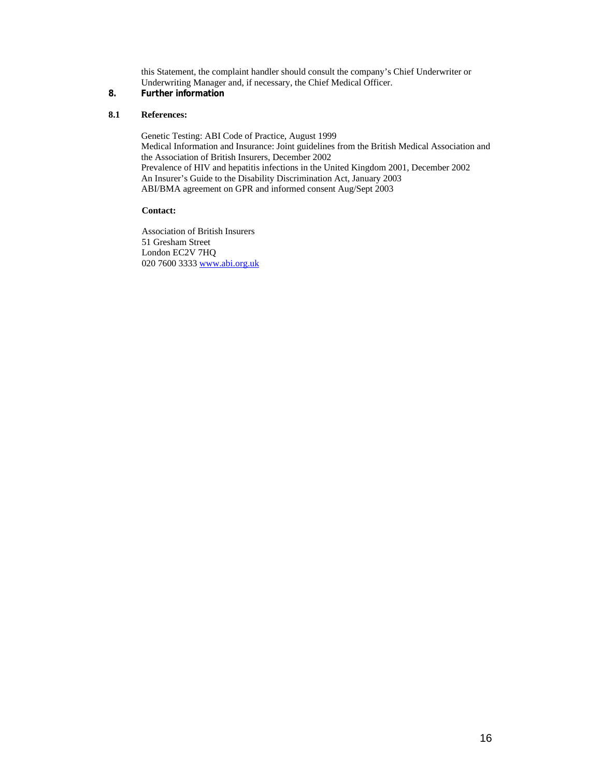this Statement, the complaint handler should consult the company's Chief Underwriter or Underwriting Manager and, if necessary, the Chief Medical Officer.

# **8. Further information**

# **8.1 References:**

Genetic Testing: ABI Code of Practice, August 1999 Medical Information and Insurance: Joint guidelines from the British Medical Association and the Association of British Insurers, December 2002 Prevalence of HIV and hepatitis infections in the United Kingdom 2001, December 2002 An Insurer's Guide to the Disability Discrimination Act, January 2003 ABI/BMA agreement on GPR and informed consent Aug/Sept 2003

# **Contact:**

 Association of British Insurers 51 Gresham Street London EC2V 7HQ 020 7600 3333 www.abi.org.uk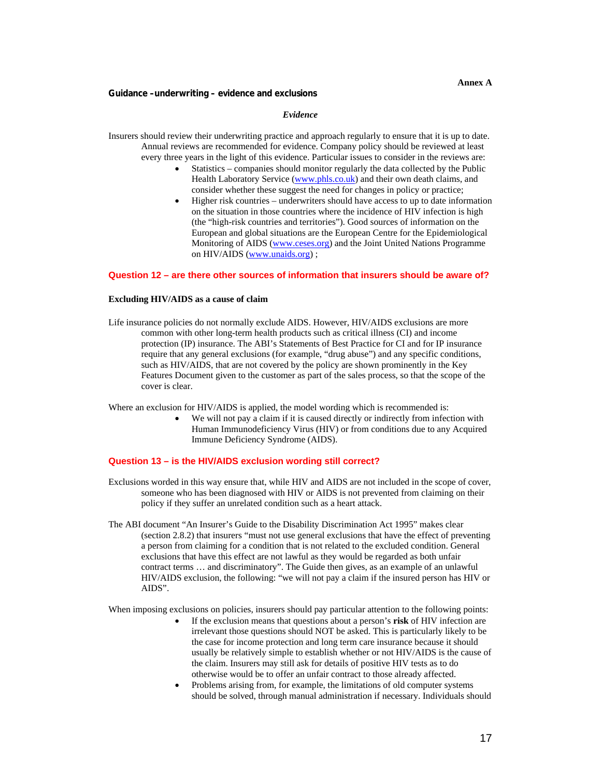#### **Annex A**

#### **Guidance –underwriting – evidence and exclusions**

# *Evidence*

Insurers should review their underwriting practice and approach regularly to ensure that it is up to date. Annual reviews are recommended for evidence. Company policy should be reviewed at least every three years in the light of this evidence. Particular issues to consider in the reviews are:

- Statistics companies should monitor regularly the data collected by the Public Health Laboratory Service (www.phls.co.uk) and their own death claims, and consider whether these suggest the need for changes in policy or practice;
- Higher risk countries underwriters should have access to up to date information on the situation in those countries where the incidence of HIV infection is high (the "high-risk countries and territories"). Good sources of information on the European and global situations are the European Centre for the Epidemiological Monitoring of AIDS (www.ceses.org) and the Joint United Nations Programme on HIV/AIDS (www.unaids.org) ;

#### **Question 12 – are there other sources of information that insurers should be aware of?**

#### **Excluding HIV/AIDS as a cause of claim**

Life insurance policies do not normally exclude AIDS. However, HIV/AIDS exclusions are more common with other long-term health products such as critical illness (CI) and income protection (IP) insurance. The ABI's Statements of Best Practice for CI and for IP insurance require that any general exclusions (for example, "drug abuse") and any specific conditions, such as HIV/AIDS, that are not covered by the policy are shown prominently in the Key Features Document given to the customer as part of the sales process, so that the scope of the cover is clear.

Where an exclusion for HIV/AIDS is applied, the model wording which is recommended is:

We will not pay a claim if it is caused directly or indirectly from infection with Human Immunodeficiency Virus (HIV) or from conditions due to any Acquired Immune Deficiency Syndrome (AIDS).

#### **Question 13 – is the HIV/AIDS exclusion wording still correct?**

- Exclusions worded in this way ensure that, while HIV and AIDS are not included in the scope of cover, someone who has been diagnosed with HIV or AIDS is not prevented from claiming on their policy if they suffer an unrelated condition such as a heart attack.
- The ABI document "An Insurer's Guide to the Disability Discrimination Act 1995" makes clear (section 2.8.2) that insurers "must not use general exclusions that have the effect of preventing a person from claiming for a condition that is not related to the excluded condition. General exclusions that have this effect are not lawful as they would be regarded as both unfair contract terms … and discriminatory". The Guide then gives, as an example of an unlawful HIV/AIDS exclusion, the following: "we will not pay a claim if the insured person has HIV or AIDS".

When imposing exclusions on policies, insurers should pay particular attention to the following points:

- If the exclusion means that questions about a person's **risk** of HIV infection are irrelevant those questions should NOT be asked. This is particularly likely to be the case for income protection and long term care insurance because it should usually be relatively simple to establish whether or not HIV/AIDS is the cause of the claim. Insurers may still ask for details of positive HIV tests as to do otherwise would be to offer an unfair contract to those already affected.
- Problems arising from, for example, the limitations of old computer systems should be solved, through manual administration if necessary. Individuals should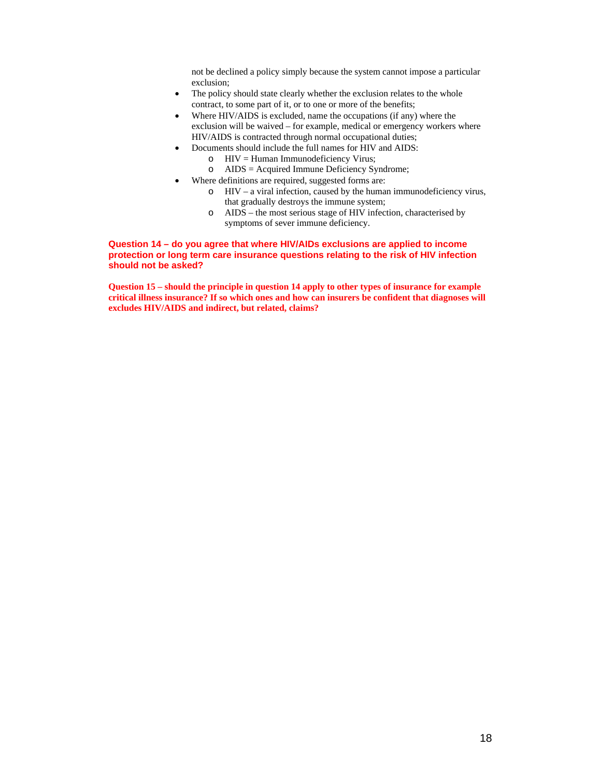not be declined a policy simply because the system cannot impose a particular exclusion;

- The policy should state clearly whether the exclusion relates to the whole contract, to some part of it, or to one or more of the benefits;
- Where HIV/AIDS is excluded, name the occupations (if any) where the exclusion will be waived – for example, medical or emergency workers where HIV/AIDS is contracted through normal occupational duties;
- Documents should include the full names for HIV and AIDS:
	- $\circ$  HIV = Human Immunodeficiency Virus;
	- o AIDS = Acquired Immune Deficiency Syndrome;
- Where definitions are required, suggested forms are:
	- o HIV a viral infection, caused by the human immunodeficiency virus, that gradually destroys the immune system;
	- o AIDS the most serious stage of HIV infection, characterised by symptoms of sever immune deficiency.

# **Question 14 – do you agree that where HIV/AIDs exclusions are applied to income protection or long term care insurance questions relating to the risk of HIV infection should not be asked?**

**Question 15 – should the principle in question 14 apply to other types of insurance for example critical illness insurance? If so which ones and how can insurers be confident that diagnoses will excludes HIV/AIDS and indirect, but related, claims?**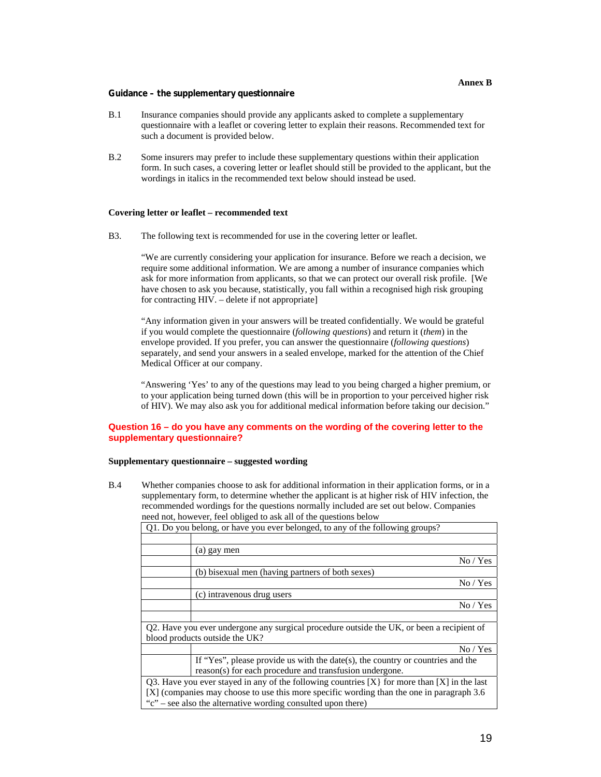#### **Guidance – the supplementary questionnaire**

- B.1 Insurance companies should provide any applicants asked to complete a supplementary questionnaire with a leaflet or covering letter to explain their reasons. Recommended text for such a document is provided below.
- B.2 Some insurers may prefer to include these supplementary questions within their application form. In such cases, a covering letter or leaflet should still be provided to the applicant, but the wordings in italics in the recommended text below should instead be used.

#### **Covering letter or leaflet – recommended text**

B3. The following text is recommended for use in the covering letter or leaflet.

"We are currently considering your application for insurance. Before we reach a decision, we require some additional information. We are among a number of insurance companies which ask for more information from applicants, so that we can protect our overall risk profile. [We have chosen to ask you because, statistically, you fall within a recognised high risk grouping for contracting HIV. – delete if not appropriate]

"Any information given in your answers will be treated confidentially. We would be grateful if you would complete the questionnaire (*following questions*) and return it (*them*) in the envelope provided. If you prefer, you can answer the questionnaire (*following questions*) separately, and send your answers in a sealed envelope, marked for the attention of the Chief Medical Officer at our company.

"Answering 'Yes' to any of the questions may lead to you being charged a higher premium, or to your application being turned down (this will be in proportion to your perceived higher risk of HIV). We may also ask you for additional medical information before taking our decision."

# **Question 16 – do you have any comments on the wording of the covering letter to the supplementary questionnaire?**

#### **Supplementary questionnaire – suggested wording**

B.4 Whether companies choose to ask for additional information in their application forms, or in a supplementary form, to determine whether the applicant is at higher risk of HIV infection, the recommended wordings for the questions normally included are set out below. Companies need not, however, feel obliged to ask all of the questions below

| Q1. Do you belong, or have you ever belonged, to any of the following groups?                    |
|--------------------------------------------------------------------------------------------------|
|                                                                                                  |
| (a) gay men                                                                                      |
| No / Yes                                                                                         |
| (b) bisexual men (having partners of both sexes)                                                 |
| No / Yes                                                                                         |
| (c) intravenous drug users                                                                       |
| No / Yes                                                                                         |
|                                                                                                  |
| Q2. Have you ever undergone any surgical procedure outside the UK, or been a recipient of        |
| blood products outside the UK?                                                                   |
| No / Yes                                                                                         |
| If "Yes", please provide us with the date(s), the country or countries and the                   |
| reason(s) for each procedure and transfusion undergone.                                          |
| Q3. Have you ever stayed in any of the following countries $[X]$ for more than $[X]$ in the last |
| [X] (companies may choose to use this more specific wording than the one in paragraph 3.6        |
| "c" – see also the alternative wording consulted upon there)                                     |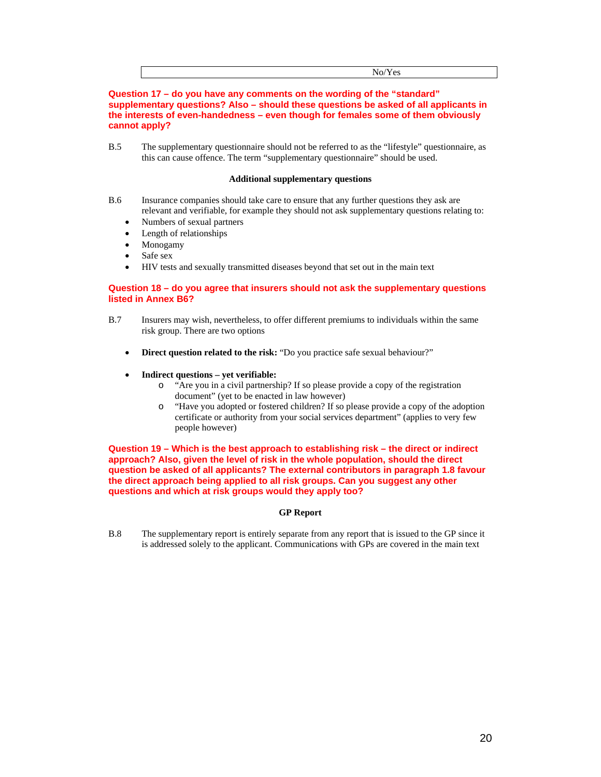**Question 17 – do you have any comments on the wording of the "standard" supplementary questions? Also – should these questions be asked of all applicants in the interests of even-handedness – even though for females some of them obviously cannot apply?** 

B.5 The supplementary questionnaire should not be referred to as the "lifestyle" questionnaire, as this can cause offence. The term "supplementary questionnaire" should be used.

#### **Additional supplementary questions**

- B.6 Insurance companies should take care to ensure that any further questions they ask are relevant and verifiable, for example they should not ask supplementary questions relating to:
	- Numbers of sexual partners
	- Length of relationships
	- Monogamy
	- Safe sex
	- HIV tests and sexually transmitted diseases beyond that set out in the main text

# **Question 18 – do you agree that insurers should not ask the supplementary questions listed in Annex B6?**

- B.7 Insurers may wish, nevertheless, to offer different premiums to individuals within the same risk group. There are two options
	- **Direct question related to the risk:** "Do you practice safe sexual behaviour?"
	- **Indirect questions yet verifiable:** 
		- o "Are you in a civil partnership? If so please provide a copy of the registration document" (yet to be enacted in law however)
		- o "Have you adopted or fostered children? If so please provide a copy of the adoption certificate or authority from your social services department" (applies to very few people however)

**Question 19 – Which is the best approach to establishing risk – the direct or indirect approach? Also, given the level of risk in the whole population, should the direct question be asked of all applicants? The external contributors in paragraph 1.8 favour the direct approach being applied to all risk groups. Can you suggest any other questions and which at risk groups would they apply too?** 

# **GP Report**

B.8 The supplementary report is entirely separate from any report that is issued to the GP since it is addressed solely to the applicant. Communications with GPs are covered in the main text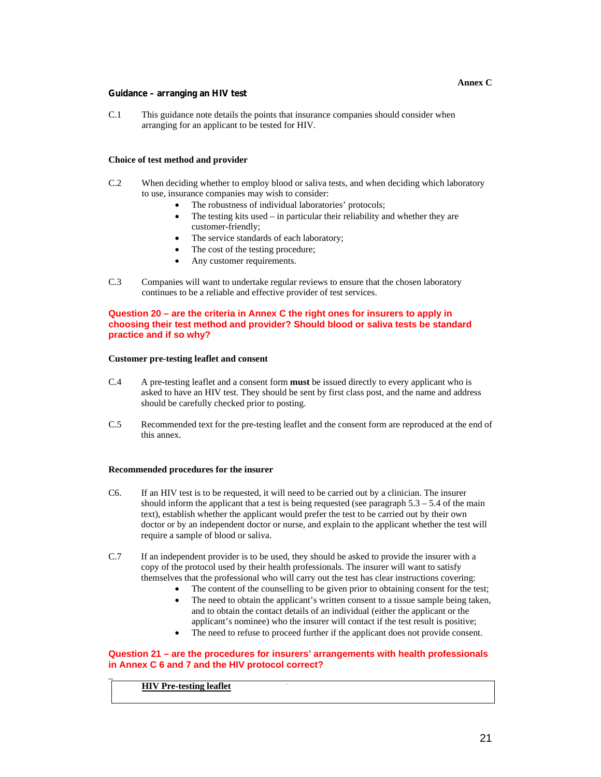#### **Guidance – arranging an HIV test**

C.1 This guidance note details the points that insurance companies should consider when arranging for an applicant to be tested for HIV.

#### **Choice of test method and provider**

- C.2 When deciding whether to employ blood or saliva tests, and when deciding which laboratory to use, insurance companies may wish to consider:
	- The robustness of individual laboratories' protocols;
	- The testing kits used  $-$  in particular their reliability and whether they are customer-friendly;
	- The service standards of each laboratory;
	- The cost of the testing procedure;
	- Any customer requirements.
- C.3 Companies will want to undertake regular reviews to ensure that the chosen laboratory continues to be a reliable and effective provider of test services.

# **Question 20 – are the criteria in Annex C the right ones for insurers to apply in choosing their test method and provider? Should blood or saliva tests be standard practice and if so why?**

#### **Customer pre-testing leaflet and consent**

- C.4 A pre-testing leaflet and a consent form **must** be issued directly to every applicant who is asked to have an HIV test. They should be sent by first class post, and the name and address should be carefully checked prior to posting.
- C.5 Recommended text for the pre-testing leaflet and the consent form are reproduced at the end of this annex.

# **Recommended procedures for the insurer**

- C6. If an HIV test is to be requested, it will need to be carried out by a clinician. The insurer should inform the applicant that a test is being requested (see paragraph  $5.3 - 5.4$  of the main text), establish whether the applicant would prefer the test to be carried out by their own doctor or by an independent doctor or nurse, and explain to the applicant whether the test will require a sample of blood or saliva.
- C.7 If an independent provider is to be used, they should be asked to provide the insurer with a copy of the protocol used by their health professionals. The insurer will want to satisfy themselves that the professional who will carry out the test has clear instructions covering:
	- The content of the counselling to be given prior to obtaining consent for the test;
	- The need to obtain the applicant's written consent to a tissue sample being taken, and to obtain the contact details of an individual (either the applicant or the applicant's nominee) who the insurer will contact if the test result is positive;
	- The need to refuse to proceed further if the applicant does not provide consent.

# **Question 21 – are the procedures for insurers' arrangements with health professionals in Annex C 6 and 7 and the HIV protocol correct?**

# **HIV Pre-testing leaflet**

 $\overline{a}$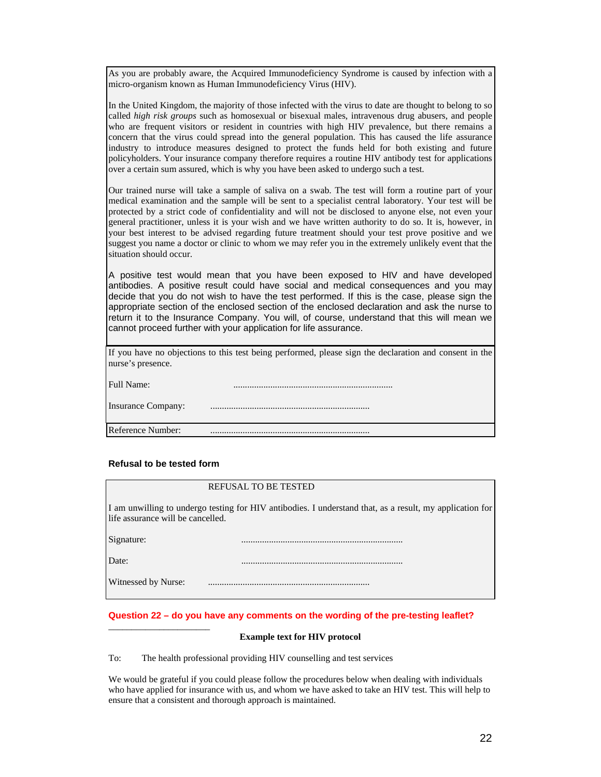As you are probably aware, the Acquired Immunodeficiency Syndrome is caused by infection with a micro-organism known as Human Immunodeficiency Virus (HIV).

In the United Kingdom, the majority of those infected with the virus to date are thought to belong to so called *high risk groups* such as homosexual or bisexual males, intravenous drug abusers, and people who are frequent visitors or resident in countries with high HIV prevalence, but there remains a concern that the virus could spread into the general population. This has caused the life assurance industry to introduce measures designed to protect the funds held for both existing and future policyholders. Your insurance company therefore requires a routine HIV antibody test for applications over a certain sum assured, which is why you have been asked to undergo such a test.

Our trained nurse will take a sample of saliva on a swab. The test will form a routine part of your medical examination and the sample will be sent to a specialist central laboratory. Your test will be protected by a strict code of confidentiality and will not be disclosed to anyone else, not even your general practitioner, unless it is your wish and we have written authority to do so. It is, however, in your best interest to be advised regarding future treatment should your test prove positive and we suggest you name a doctor or clinic to whom we may refer you in the extremely unlikely event that the situation should occur.

A positive test would mean that you have been exposed to HIV and have developed antibodies. A positive result could have social and medical consequences and you may decide that you do not wish to have the test performed. If this is the case, please sign the appropriate section of the enclosed section of the enclosed declaration and ask the nurse to return it to the Insurance Company. You will, of course, understand that this will mean we cannot proceed further with your application for life assurance.

If you have no objections to this test being performed, please sign the declaration and consent in the nurse's presence.

Full Name: .....................................................................

Insurance Company: .....................................................................

Reference Number: .....................................................................

#### **Refusal to be tested form**

# REFUSAL TO BE TESTED

I am unwilling to undergo testing for HIV antibodies. I understand that, as a result, my application for life assurance will be cancelled.

Signature: ......................................................................

Date: ......................................................................

Witnessed by Nurse: ......................................................................

\_\_\_\_\_\_\_\_\_\_\_\_\_\_\_\_\_\_\_\_\_\_

#### **Question 22 – do you have any comments on the wording of the pre-testing leaflet?**

#### **Example text for HIV protocol**

To: The health professional providing HIV counselling and test services

We would be grateful if you could please follow the procedures below when dealing with individuals who have applied for insurance with us, and whom we have asked to take an HIV test. This will help to ensure that a consistent and thorough approach is maintained.